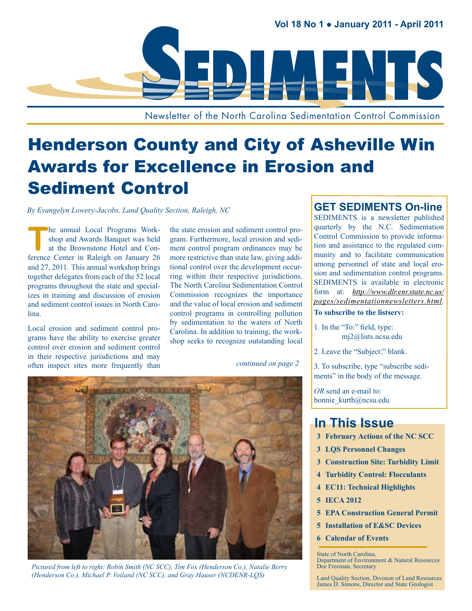

Newsletter of the North Carolina Sedimentation Control Commission

## Henderson County and City of Asheville Win Awards for Excellence in Erosion and Sediment Control

*By Evangelyn Lowery-Jacobs, Land Quality Section, Raleigh, NC*

The annual Local Programs Work-<br>
shop and Awards Banquet was held<br>
at the Brownstone Hotel and Con-<br>
former Center in Balaish an Issuem 26 shop and Awards Banquet was held at the Brownstone Hotel and Conference Center in Raleigh on January 26 and 27, 2011. This annual workshop brings together delegates from each of the 52 local programs throughout the state and specializes in training and discussion of erosion and sediment control issues in North Carolina.

Local erosion and sediment control programs have the ability to exercise greater control over erosion and sediment control in their respective jurisdictions and may often inspect sites more frequently than the state erosion and sediment control program. Furthermore, local erosion and sediment control program ordinances may be more restrictive than state law, giving additional control over the development occurring within their respective jurisdictions. The North Carolina Sedimentation Control Commission recognizes the importance and the value of local erosion and sediment control programs in controlling pollution by sedimentation to the waters of North Carolina. In addition to training, the workshop seeks to recognize outstanding local

#### *continued on page 2*



*Pictured from left to right: Robin Smith (NC SCC), Tim Fox (Henderson Co.), Natalie Berry (Henderson Co.), Michael P. Voiland (NC SCC), and Gray Hauser (NCDENR-LQS)*

#### **GET SEDIMENTS On-line**

SEDIMENTS is a newsletter published quarterly by the N.C. Sedimentation Control Commission to provide information and assistance to the regulated community and to facilitate communication among personnel of state and local erosion and sedimentation control programs. SEDIMENTS is available in electronic form at: *[http://www.dlr.enr.state.nc.us/](http://www.dlr.enr.state.nc.us/pages/sedimentationnewsletters.html) [pages/sedimentationnewsletters.html.](http://www.dlr.enr.state.nc.us/pages/sedimentationnewsletters.html)* 

#### **To subscribe to the listserv:**

- 1. In the "To:" field, type: [mj2@lists.ncsu.edu](mailto:mj2@lists.ncsu.edu)
- 2. Leave the "Subject:" blank.

3. To subscribe, type "subscribe sediments" in the body of the message.

*OR* send an e-mail to: [bonnie\\_kurth@ncsu.edu](mailto:bonnie_kurth@ncsu.edu)

#### **In This Issue**

- **3 [February Actions of the NC SCC](#page-5-0)**
- **3 [LQS Personnel Changes](#page-5-0)**
- **3 [Construction Site: Turbidity Limit](#page-5-0)**
- **4 [Turbidity Control: Flocculants](#page-5-0)**
- **4 [EC11: Technical Highlights](#page-5-0)**
- **5 [IECA 2012](#page-5-0)**
- **5 [EPA Construction General Permit](#page-5-0)**
- **5 [Installation of E&SC Devices](#page-5-0)**
- **6 [Calendar of Events](#page-5-0)**

State of North Carolina, Department of Environment & Natural Resources Dee Freeman, Secretary

Land Quality Section, Division of Land Resources James D. Simons, Director and State Geologist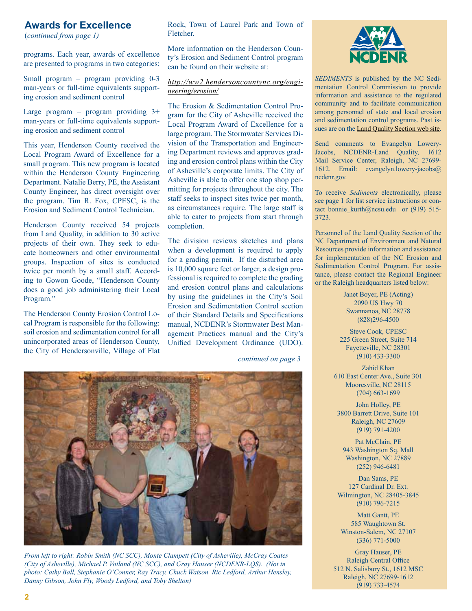#### **Awards for Excellence**

(*continued from page 1)*

programs. Each year, awards of excellence are presented to programs in two categories:

Small program – program providing 0-3 man-years or full-time equivalents supporting erosion and sediment control

Large program – program providing  $3+$ man-years or full-time equivalents supporting erosion and sediment control

This year, Henderson County received the Local Program Award of Excellence for a small program. This new program is located within the Henderson County Engineering Department. Natalie Berry, PE, the Assistant County Engineer, has direct oversight over the program. Tim R. Fox, CPESC, is the Erosion and Sediment Control Technician.

Henderson County received 54 projects from Land Quality, in addition to 30 active projects of their own. They seek to educate homeowners and other environmental groups. Inspection of sites is conducted twice per month by a small staff. According to Gowon Goode, "Henderson County does a good job administering their Local Program."

The Henderson County Erosion Control Local Program is responsible for the following: soil erosion and sedimentation control for all unincorporated areas of Henderson County, the City of Hendersonville, Village of Flat

Rock, Town of Laurel Park and Town of Fletcher.

More information on the Henderson County's Erosion and Sediment Control program can be found on their website at:

#### *[http://ww2.hendersoncountync.org/engi](http://ww2.hendersoncountync.org/engineering/erosion/)[neering/erosion/](http://ww2.hendersoncountync.org/engineering/erosion/)*

The Erosion & Sedimentation Control Program for the City of Asheville received the Local Program Award of Excellence for a large program. The Stormwater Services Division of the Transportation and Engineering Department reviews and approves grading and erosion control plans within the City of Asheville's corporate limits. The City of Asheville is able to offer one stop shop permitting for projects throughout the city. The staff seeks to inspect sites twice per month, as circumstances require. The large staff is able to cater to projects from start through completion.

The division reviews sketches and plans when a development is required to apply for a [grading permit.](http://www.ashevillenc.gov/WorkArea/linkit.aspx?LinkIdentifier=id&ItemID=1934) If the disturbed area is 10,000 square feet or larger, a design professional is required to complete the grading and erosion control plans and calculations by using the guidelines in the City's Soil Erosion and Sedimentation Control section of their Standard Details and Specifications manual, NCDENR's Stormwater Best Management Practices manual and the City's Unified Development Ordinance (UDO).

*continued on page 3*



*From left to right: Robin Smith (NC SCC), Monte Clampett (City of Asheville), McCray Coates (City of Asheville), Michael P. Voiland (NC SCC), and Gray Hauser (NCDENR-LQS). (Not in photo: Cathy Ball, Stephanie O'Conner, Ray Tracy, Chuck Watson, Ric Ledford, Arthur Hensley, Danny Gibson, John Fly, Woody Ledford, and Toby Shelton)*



*Sediments* is published by the NC Sedimentation Control Commission to provide information and assistance to the regulated community and to facilitate communication among personnel of state and local erosion and sedimentation control programs. Past issues are on the **Land Quality Section web site**.

Send comments to Evangelyn Lowery-Jacobs, NCDENR-Land Quality, 1612 Mail Service Center, Raleigh, NC 27699- 1612. Email: [evangelyn.lowery-jacobs@](mailto:evangelyn.lowery-jacobs@ncdenr.gov) [ncdenr.gov.](mailto:evangelyn.lowery-jacobs@ncdenr.gov)

To receive *Sediments* electronically, please see page 1 for list service instructions or contact bonnie kurth@ncsu.edu or (919) 515-3723.

Personnel of the Land Quality Section of the NC Department of Environment and Natural Resources provide information and assistance for implementation of the NC Erosion and Sedimentation Control Program. For assistance, please contact the Regional Engineer or the Raleigh headquarters listed below:

> Janet Boyer, PE (Acting) 2090 US Hwy 70 Swannanoa, NC 28778 (828)296-4500

Steve Cook, CPESC 225 Green Street, Suite 714 Fayetteville, NC 28301 (910) 433-3300

Zahid Khan 610 East Center Ave., Suite 301 Mooresville, NC 28115 (704) 663-1699

John Holley, PE 3800 Barrett Drive, Suite 101 Raleigh, NC 27609 (919) 791-4200

Pat McClain, PE 943 Washington Sq. Mall Washington, NC 27889 (252) 946-6481

Dan Sams, PE 127 Cardinal Dr. Ext. Wilmington, NC 28405-3845 (910) 796-7215

Matt Gantt, PE 585 Waughtown St. Winston-Salem, NC 27107 (336) 771-5000

Gray Hauser, PE Raleigh Central Office 512 N. Salisbury St., 1612 MSC Raleigh, NC 27699-1612 (919) 733-4574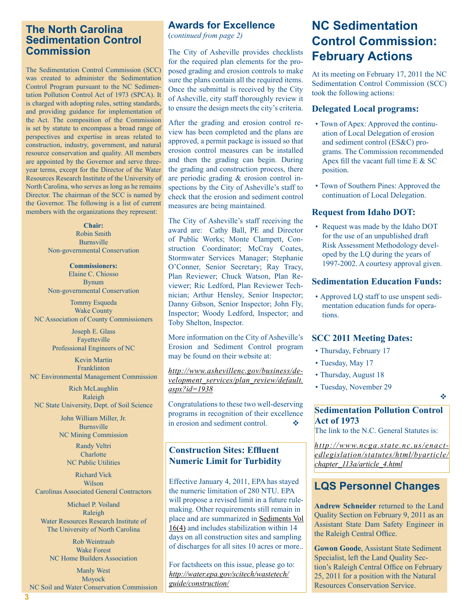#### **The North Carolina Sedimentation Control Commission**

The Sedimentation Control Commission (SCC) was created to administer the Sedimentation Control Program pursuant to the NC Sedimentation Pollution Control Act of 1973 (SPCA). It is charged with adopting rules, setting standards, and providing guidance for implementation of the Act. The composition of the Commission is set by statute to encompass a broad range of perspectives and expertise in areas related to construction, industry, government, and natural resource conservation and quality. All members are appointed by the Governor and serve threeyear terms, except for the Director of the Water Resources Research Institute of the University of North Carolina, who serves as long as he remains Director. The chairman of the SCC is named by the Governor. The following is a list of current members with the organizations they represent:

> **Chair:**  Robin Smith Burnsville Non-governmental Conservation

> **Commissioners:**  Elaine C. Chiosso Bynum Non-governmental Conservation

Tommy Esqueda Wake County NC Association of County Commissioners

> Joseph E. Glass Fayetteville Professional Engineers of NC

Kevin Martin Franklinton NC Environmental Management Commission

Rich McLaughlin Raleigh NC State University, Dept. of Soil Science

> John William Miller, Jr. Burnsville NC Mining Commission Randy Veltri

**Charlotte** NC Public Utilities

Richard Vick Wilson Carolinas Associated General Contractors

Michael P. Voiland Raleigh Water Resources Research Institute of The University of North Carolina

Rob Weintraub Wake Forest NC Home Builders Association

Manly West Moyock NC Soil and Water Conservation Commission

#### **Awards for Excellence**

(*continued from page 2)*

The City of Asheville provides checklists for the required plan elements for the proposed grading and erosion controls to make sure the plans contain all the required items. Once the submittal is received by the City of Asheville, city staff thoroughly review it to ensure the design meets the city's criteria.

After the grading and erosion control review has been completed and the plans are approved, a permit package is issued so that erosion control measures can be installed and then the grading can begin. During the grading and construction process, there are periodic grading & erosion control inspections by the City of Asheville's staff to check that the erosion and sediment control measures are being maintained.

The City of Asheville's staff receiving the award are: Cathy Ball, PE and Director of Public Works; Monte Clampett, Construction Coordinator; McCray Coates, Stormwater Services Manager; Stephanie O'Conner, Senior Secretary; Ray Tracy, Plan Reviewer; Chuck Watson, Plan Reviewer; Ric Ledford, Plan Reviewer Technician; Arthur Hensley, Senior Inspector; Danny Gibson, Senior Inspector; John Fly, Inspector; Woody Ledford, Inspector; and Toby Shelton, Inspector.

More information on the City of Asheville's Erosion and Sediment Control program may be found on their website at:

*[http://www.ashevillenc.gov/business/de](http://www.ashevillenc.gov/business/development_services/plan_review/default.aspx?id=1938)[velopment\\_services/plan\\_review/default.](http://www.ashevillenc.gov/business/development_services/plan_review/default.aspx?id=1938) [aspx?id=1938](http://www.ashevillenc.gov/business/development_services/plan_review/default.aspx?id=1938)*

Congratulations to these two well-deserving programs in recognition of their excellence in erosion and sediment control.  $\bullet$ 

#### **Construction Sites: Effluent Numeric Limit for Turbidity**

Effective January 4, 2011, EPA has stayed the numeric limitation of 280 NTU. EPA will propose a revised limit in a future rulemaking. Other requirements still remain in place and are summarized in [Sediments Vol](http://www.bae.ncsu.edu/programs/extension/wqg/sediments_jan10.pdf)  [16\(4\)](http://www.bae.ncsu.edu/programs/extension/wqg/sediments_jan10.pdf) and includes stabilization within 14 days on all construction sites and sampling of discharges for all sites 10 acres or more..

For factsheets on this issue, please go to: *[http://water.epa.gov/scitech/wastetech/](http://water.epa.gov/scitech/wastetech/guide/construction/) [guide/construction/](http://water.epa.gov/scitech/wastetech/guide/construction/)*

### **NC Sedimentation Control Commission: February Actions**

At its meeting on February 17, 2011 the NC Sedimentation Control Commission (SCC) took the following actions:

#### **Delegated Local programs:**

- Town of Apex: Approved the continuation of Local Delegation of erosion and sediment control (ES&C) programs. The Commission recommended Apex fill the vacant full time E & SC position.
- Town of Southern Pines: Approved the continuation of Local Delegation.

#### **Request from Idaho DOT:**

• Request was made by the Idaho DOT for the use of an unpublished draft Risk Assessment Methodology developed by the LQ during the years of 1997-2002. A courtesy approval given.

#### **Sedimentation Education Funds:**

• Approved LQ staff to use unspent sedimentation education funds for operations.

#### **SCC 2011 Meeting Dates:**

- Thursday, February 17
- Tuesday, May 17
- Thursday, August 18
- Tuesday, November 29

#### **Sedimentation Pollution Control Act of 1973**

v

The link to the N.C. General Statutes is:

*[http://www.ncga.state.nc.us/enact](http://www.ncga.state.nc.us/enactedlegislation/statutes/html/byarticle/chapter_113a/article_4.html)[edlegislation/statutes/html/byarticle/](http://www.ncga.state.nc.us/enactedlegislation/statutes/html/byarticle/chapter_113a/article_4.html) [chapter\\_113a/article\\_4.html](http://www.ncga.state.nc.us/enactedlegislation/statutes/html/byarticle/chapter_113a/article_4.html)*

#### **LQS Personnel Changes**

**Andrew Schneider** returned to the Land Quality Section on February 9, 2011 as an Assistant State Dam Safety Engineer in the Raleigh Central Office.

**Gowon Goode**, Assistant State Sediment Specialist, left the Land Quality Section's Raleigh Central Office on February 25, 2011 for a position with the Natural Resources Conservation Service.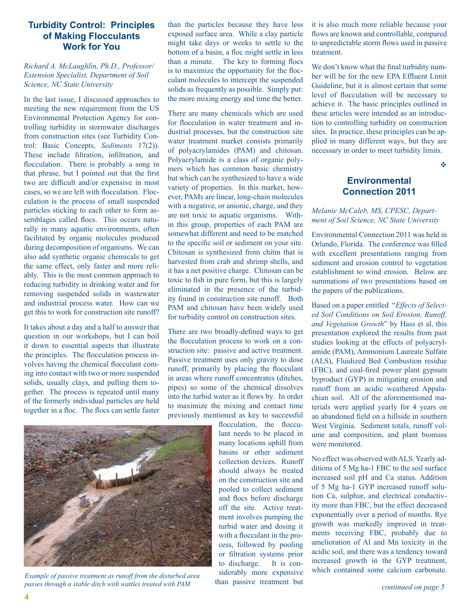#### **Turbidity Control: Principles of Making Flocculants Work for You**

#### *Richard A. McLaughlin, Ph.D., Professor/ Extension Specialist, Department of Soil Science, NC State University*

In the last issue, I discussed approaches to meeting the new requirement from the US Environmental Protection Agency for controlling turbidity in stormwater discharges from construction sites (see Turbidity Control: Basic Concepts, *Sediments* 17(2)). These include filtration, infiltration, and flocculation. There is probably a song in that phrase, but I pointed out that the first two are difficult and/or expensive in most cases, so we are left with flocculation. Flocculation is the process of small suspended particles sticking to each other to form assemblages called flocs. This occurs naturally in many aquatic environments, often facilitated by organic molecules produced during decomposition of organisms. We can also add synthetic organic chemicals to get the same effect, only faster and more reliably. This is the most common approach to reducing turbidity in drinking water and for removing suspended solids in wastewater and industrial process water. How can we get this to work for construction site runoff?

It takes about a day and a half to answer that question in our workshops, but I can boil it down to essential aspects that illustrate the principles. The flocculation process involves having the chemical flocculant coming into contact with two or more suspended solids, usually clays, and pulling them together. The process is repeated until many of the formerly individual particles are held together in a floc. The flocs can settle faster



*Example of passive treatment as runoff from the disturbed area passes through a stable ditch with wattles treated with PAM*

than the particles because they have less exposed surface area. While a clay particle might take days or weeks to settle to the bottom of a basin, a floc might settle in less than a minute. The key to forming flocs is to maximize the opportunity for the flocculant molecules to intercept the suspended solids as frequently as possible. Simply put: the more mixing energy and time the better.

There are many chemicals which are used for flocculation in water treatment and industrial processes, but the construction site water treatment market consists primarily of polyacrylamides (PAM) and chitosan. Polyacrylamide is a class of organic polymers which has common basic chemistry but which can be synthesized to have a wide variety of properties. In this market, however, PAMs are linear, long-chain molecules with a negative, or anionic, charge, and they are not toxic to aquatic organisms. Within this group, properties of each PAM are somewhat different and need to be matched to the specific soil or sediment on your site. Chitosan is synthesized from chitin that is harvested from crab and shrimp shells, and it has a net positive charge. Chitosan can be toxic to fish in pure form, but this is largely eliminated in the presence of the turbidity found in construction site runoff. Both PAM and chitosan have been widely used for turbidity control on construction sites.

There are two broadly-defined ways to get the flocculation process to work on a construction site: passive and active treatment. Passive treatment uses only gravity to dose runoff, primarily by placing the flocculant in areas where runoff concentrates (ditches, pipes) so some of the chemical dissolves into the turbid water as it flows by. In order to maximize the mixing and contact time previously mentioned as key to successful

> flocculation, the flocculant needs to be placed in many locations uphill from basins or other sediment collection devices. Runoff should always be treated on the construction site and pooled to collect sediment and flocs before discharge off the site. Active treatment involves pumping the turbid water and dosing it with a flocculant in the process, followed by pooling or filtration systems prior to discharge. It is considerably more expensive than passive treatment but

it is also much more reliable because your flows are known and controllable, compared to unpredictable storm flows used in passive treatment.

We don't know what the final turbidity number will be for the new EPA Effluent Limit Guideline, but it is almost certain that some level of flocculation will be necessary to achieve it. The basic principles outlined in these articles were intended as an introduction to controlling turbidity on construction sites. In practice, these principles can be applied in many different ways, but they are necessary in order to meet turbidity limits.

v

#### **Environmental Connection 2011**

#### *Melanie McCaleb, MS, CPESC, Department of Soil Science, NC State University*

Environmental Connection 2011 was held in Orlando, Florida. The conference was filled with excellent presentations ranging from sediment and erosion control to vegetation establishment to wind erosion. Below are summations of two presentations based on the papers of the publications.

Based on a paper entitled "*Effects of Selected Soil Conditions on Soil Erosion, Runoff, and Vegetation Growth*" by Hass et al, this presentation explored the results from past studies looking at the effects of polyacrylamide (PAM), Ammonium Laureate Sulfate (ALS), Fluidized Bed Combustion residue (FBC), and coal-fired power plant gypsum byproduct (GYP) in mitigating erosion and runoff from an acidic weathered Appalachian soil. All of the aforementioned materials were applied yearly for 4 years on an abandoned field on a hillside in southern West Virginia. Sediment totals, runoff volume and composition, and plant biomass were monitored.

No effect was observed with ALS. Yearly additions of 5 Mg ha-1 FBC to the soil surface increased soil pH and Ca status. Addition of 5 Mg ha-1 GYP increased runoff solution Ca, sulphur, and electrical conductivity more than FBC, but the effect decreased exponentially over a period of months. Rye growth was markedly improved in treatments receiving FBC, probably due to amelioration of Al and Mn toxicity in the acidic soil, and there was a tendency toward increased growth in the GYP treatment, which contained some calcium carbonate.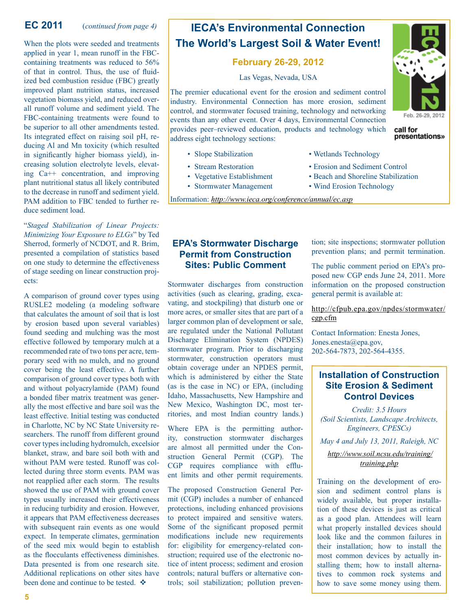#### **EC 2011**(*continued from page 4)*

When the plots were seeded and treatments applied in year 1, mean runoff in the FBCcontaining treatments was reduced to 56% of that in control. Thus, the use of fluidized bed combustion residue (FBC) greatly improved plant nutrition status, increased vegetation biomass yield, and reduced overall runoff volume and sediment yield. The FBC-containing treatments were found to be superior to all other amendments tested. Its integrated effect on raising soil pH, reducing Al and Mn toxicity (which resulted in significantly higher biomass yield), increasing solution electrolyte levels, elevating Ca++ concentration, and improving plant nutritional status all likely contributed to the decrease in runoff and sediment yield. PAM addition to FBC tended to further reduce sediment load.

"*Staged Stabilization of Linear Projects: Minimizing Your Exposure to ELGs*" by Ted Sherrod, formerly of NCDOT, and R. Brim, presented a compilation of statistics based on one study to determine the effectiveness of stage seeding on linear construction projects:

A comparison of ground cover types using RUSLE2 modeling (a modeling software that calculates the amount of soil that is lost by erosion based upon several variables) found seeding and mulching was the most effective followed by temporary mulch at a recommended rate of two tons per acre, temporary seed with no mulch, and no ground cover being the least effective. A further comparison of ground cover types both with and without polyacrylamide (PAM) found a bonded fiber matrix treatment was generally the most effective and bare soil was the least effective. Initial testing was conducted in Charlotte, NC by NC State University researchers. The runoff from different ground cover types including hydromulch, excelsior blanket, straw, and bare soil both with and without PAM were tested. Runoff was collected during three storm events. PAM was not reapplied after each storm. The results showed the use of PAM with ground cover types usually increased their effectiveness in reducing turbidity and erosion. However, it appears that PAM effectiveness decreases with subsequent rain events as one would expect. In temperate climates, germination of the seed mix would begin to establish as the flocculants effectiveness diminishes. Data presented is from one research site. Additional replications on other sites have been done and continue to be tested.  $\cdot$ 

#### **IECA's Environmental Connection The World's Largest Soil & Water Event!**

#### **February 26-29, 2012**

Las Vegas, Nevada, USA

The premier educational event for the erosion and sediment control industry. Environmental Connection has more erosion, sediment control, and stormwater focused training, technology and networking events than any other event. Over 4 days, Environmental Connection provides peer–reviewed education, products and technology which address eight technology sections:

- Slope Stabilization Wetlands Technology
- Stream Restoration Erosion and Sediment Control
- Vegetative Establishment Beach and Shoreline Stabilization
- Stormwater Management Wind Erosion Technology
- Information: *<http://www.ieca.org/conference/annual/ec.asp>*

#### **EPA's Stormwater Discharge Permit from Construction Sites: Public Comment**

Stormwater discharges from construction activities (such as clearing, grading, excavating, and stockpiling) that disturb one or more acres, or smaller sites that are part of a larger common plan of development or sale, are regulated under the National Pollutant Discharge Elimination System (NPDES) stormwater program. Prior to discharging stormwater, construction operators must obtain coverage under an NPDES permit, which is administered by either the State (as is the case in NC) or EPA, (including Idaho, Massachusetts, New Hampshire and New Mexico, Washington DC, most territories, and most Indian country lands.)

Where EPA is the permitting authority, construction stormwater discharges are almost all permitted under the Construction General Permit (CGP). The CGP requires compliance with effluent limits and other permit requirements.

The proposed Construction General Permit (CGP) includes a number of enhanced protections, including enhanced provisions to protect impaired and sensitive waters. Some of the significant proposed permit modifications include new requirements for: eligibility for emergency-related construction; required use of the electronic notice of intent process; sediment and erosion controls; natural buffers or alternative controls; soil stabilization; pollution prevention; site inspections; stormwater pollution prevention plans; and permit termination.

The public comment period on EPA's proposed new CGP ends June 24, 2011. More information on the proposed construction general permit is available at:

#### [http://cfpub.epa.gov/npdes/stormwater/](http://cfpub.epa.gov/npdes/stormwater/cgp.cfm) [cgp.cfm](http://cfpub.epa.gov/npdes/stormwater/cgp.cfm)

Contact Information: Enesta Jones, Jones.enesta@epa.gov, 202-564-7873, 202-564-4355.

#### **Installation of Construction Site Erosion & Sediment Control Devices**

*Credit: 3.5 Hours (Soil Scientists, Landscape Architects, Engineers, CPESCs)*

*May 4 and July 13, 2011, Raleigh, NC*

*[http://www.soil.ncsu.edu/training/](http://www.soil.ncsu.edu/training/training.php)  [training.php](http://www.soil.ncsu.edu/training/training.php)* 

Training on the development of erosion and sediment control plans is widely available, but proper installation of these devices is just as critical as a good plan. Attendees will learn what properly installed devices should look like and the common failures in their installation; how to install the most common devices by actually installing them; how to install alternatives to common rock systems and how to save some money using them.



presentations»

call for

**5**